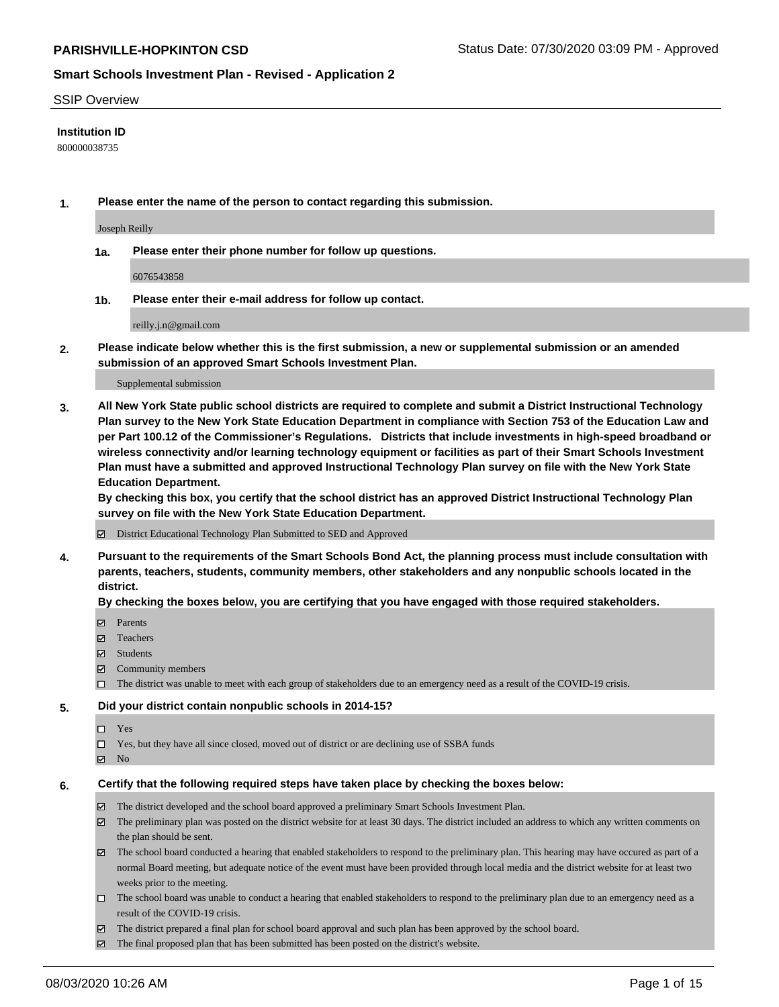#### SSIP Overview

### **Institution ID**

800000038735

**1. Please enter the name of the person to contact regarding this submission.**

Joseph Reilly

**1a. Please enter their phone number for follow up questions.**

6076543858

**1b. Please enter their e-mail address for follow up contact.**

reilly.j.n@gmail.com

**2. Please indicate below whether this is the first submission, a new or supplemental submission or an amended submission of an approved Smart Schools Investment Plan.**

#### Supplemental submission

**3. All New York State public school districts are required to complete and submit a District Instructional Technology Plan survey to the New York State Education Department in compliance with Section 753 of the Education Law and per Part 100.12 of the Commissioner's Regulations. Districts that include investments in high-speed broadband or wireless connectivity and/or learning technology equipment or facilities as part of their Smart Schools Investment Plan must have a submitted and approved Instructional Technology Plan survey on file with the New York State Education Department.** 

**By checking this box, you certify that the school district has an approved District Instructional Technology Plan survey on file with the New York State Education Department.**

District Educational Technology Plan Submitted to SED and Approved

**4. Pursuant to the requirements of the Smart Schools Bond Act, the planning process must include consultation with parents, teachers, students, community members, other stakeholders and any nonpublic schools located in the district.** 

#### **By checking the boxes below, you are certifying that you have engaged with those required stakeholders.**

- **□** Parents
- Teachers
- Students
- $\boxtimes$  Community members
- The district was unable to meet with each group of stakeholders due to an emergency need as a result of the COVID-19 crisis.

#### **5. Did your district contain nonpublic schools in 2014-15?**

- $\neg$  Yes
- Yes, but they have all since closed, moved out of district or are declining use of SSBA funds
- **Z** No

#### **6. Certify that the following required steps have taken place by checking the boxes below:**

- The district developed and the school board approved a preliminary Smart Schools Investment Plan.
- $\boxtimes$  The preliminary plan was posted on the district website for at least 30 days. The district included an address to which any written comments on the plan should be sent.
- $\boxtimes$  The school board conducted a hearing that enabled stakeholders to respond to the preliminary plan. This hearing may have occured as part of a normal Board meeting, but adequate notice of the event must have been provided through local media and the district website for at least two weeks prior to the meeting.
- The school board was unable to conduct a hearing that enabled stakeholders to respond to the preliminary plan due to an emergency need as a result of the COVID-19 crisis.
- The district prepared a final plan for school board approval and such plan has been approved by the school board.
- $\boxtimes$  The final proposed plan that has been submitted has been posted on the district's website.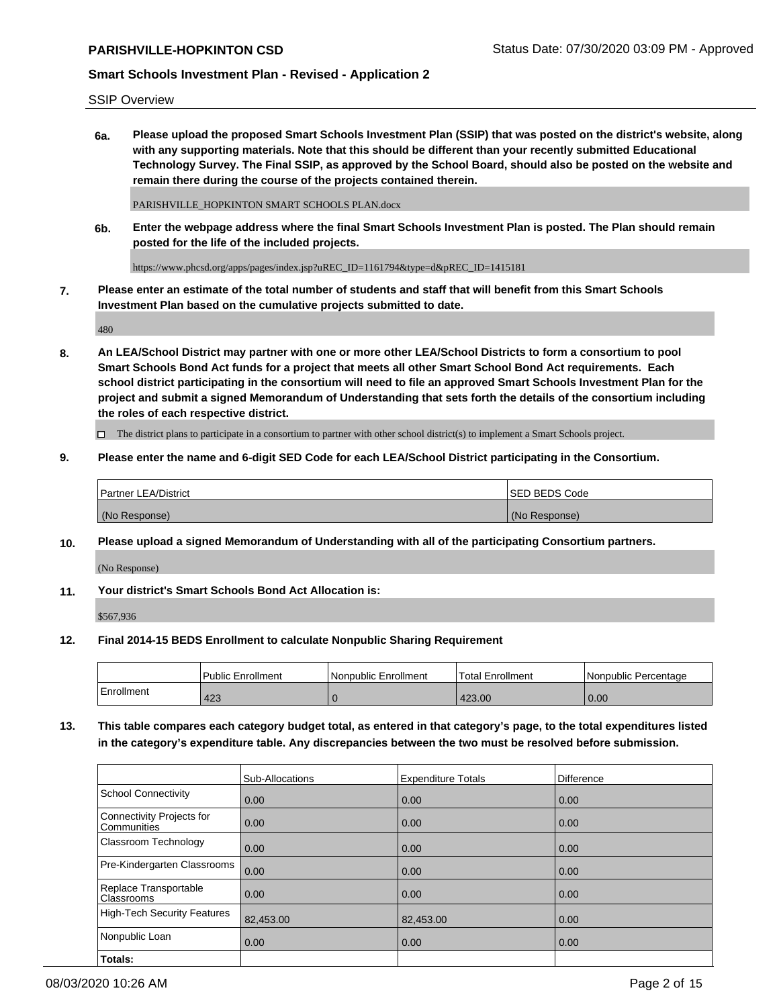SSIP Overview

**6a. Please upload the proposed Smart Schools Investment Plan (SSIP) that was posted on the district's website, along with any supporting materials. Note that this should be different than your recently submitted Educational Technology Survey. The Final SSIP, as approved by the School Board, should also be posted on the website and remain there during the course of the projects contained therein.**

PARISHVILLE\_HOPKINTON SMART SCHOOLS PLAN.docx

**6b. Enter the webpage address where the final Smart Schools Investment Plan is posted. The Plan should remain posted for the life of the included projects.**

https://www.phcsd.org/apps/pages/index.jsp?uREC\_ID=1161794&type=d&pREC\_ID=1415181

**7. Please enter an estimate of the total number of students and staff that will benefit from this Smart Schools Investment Plan based on the cumulative projects submitted to date.**

480

**8. An LEA/School District may partner with one or more other LEA/School Districts to form a consortium to pool Smart Schools Bond Act funds for a project that meets all other Smart School Bond Act requirements. Each school district participating in the consortium will need to file an approved Smart Schools Investment Plan for the project and submit a signed Memorandum of Understanding that sets forth the details of the consortium including the roles of each respective district.**

 $\Box$  The district plans to participate in a consortium to partner with other school district(s) to implement a Smart Schools project.

### **9. Please enter the name and 6-digit SED Code for each LEA/School District participating in the Consortium.**

| Partner LEA/District | <b>ISED BEDS Code</b> |
|----------------------|-----------------------|
| (No Response)        | (No Response)         |

### **10. Please upload a signed Memorandum of Understanding with all of the participating Consortium partners.**

(No Response)

**11. Your district's Smart Schools Bond Act Allocation is:**

\$567,936

#### **12. Final 2014-15 BEDS Enrollment to calculate Nonpublic Sharing Requirement**

|            | Public Enrollment | Nonpublic Enrollment | Total Enrollment | I Nonpublic Percentage |
|------------|-------------------|----------------------|------------------|------------------------|
| Enrollment | 423               |                      | 423.00           | 0.00                   |

**13. This table compares each category budget total, as entered in that category's page, to the total expenditures listed in the category's expenditure table. Any discrepancies between the two must be resolved before submission.**

|                                          | Sub-Allocations | <b>Expenditure Totals</b> | <b>Difference</b> |
|------------------------------------------|-----------------|---------------------------|-------------------|
| <b>School Connectivity</b>               | 0.00            | 0.00                      | 0.00              |
| Connectivity Projects for<br>Communities | 0.00            | 0.00                      | 0.00              |
| Classroom Technology                     | 0.00            | 0.00                      | 0.00              |
| Pre-Kindergarten Classrooms              | 0.00            | 0.00                      | 0.00              |
| Replace Transportable<br>Classrooms      | 0.00            | 0.00                      | 0.00              |
| High-Tech Security Features              | 82,453.00       | 82,453.00                 | 0.00              |
| Nonpublic Loan                           | 0.00            | 0.00                      | 0.00              |
| Totals:                                  |                 |                           |                   |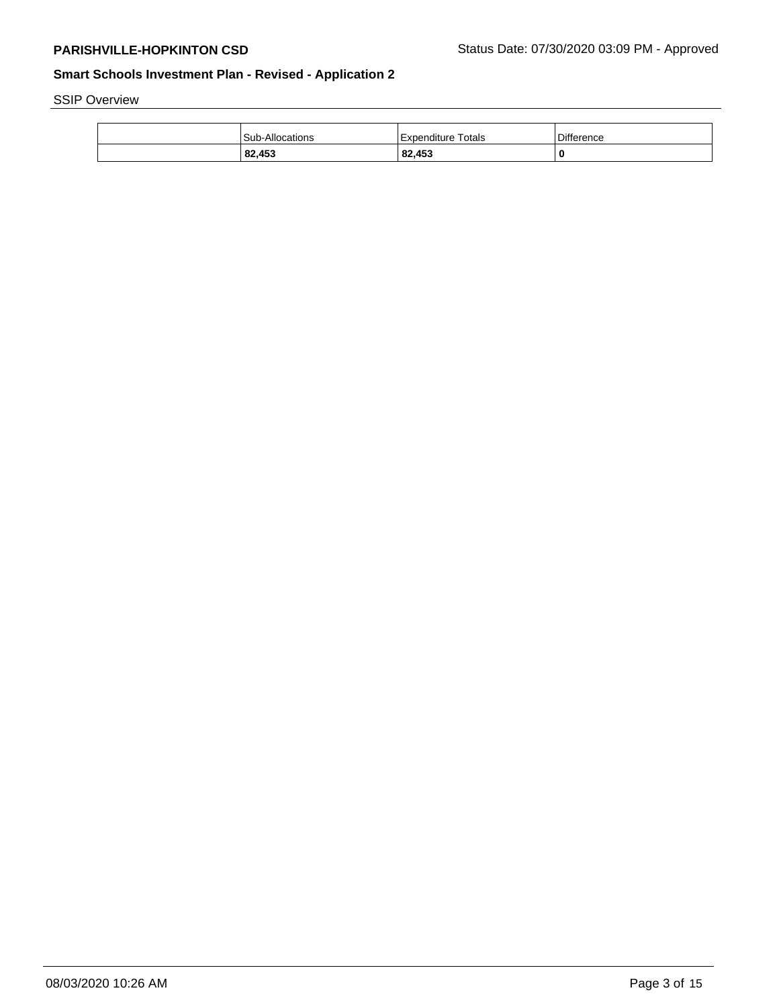SSIP Overview

| <b>Sub-Allocations</b> | Expenditure Totals | Difference |
|------------------------|--------------------|------------|
| 82,453                 | 82,453             | 0          |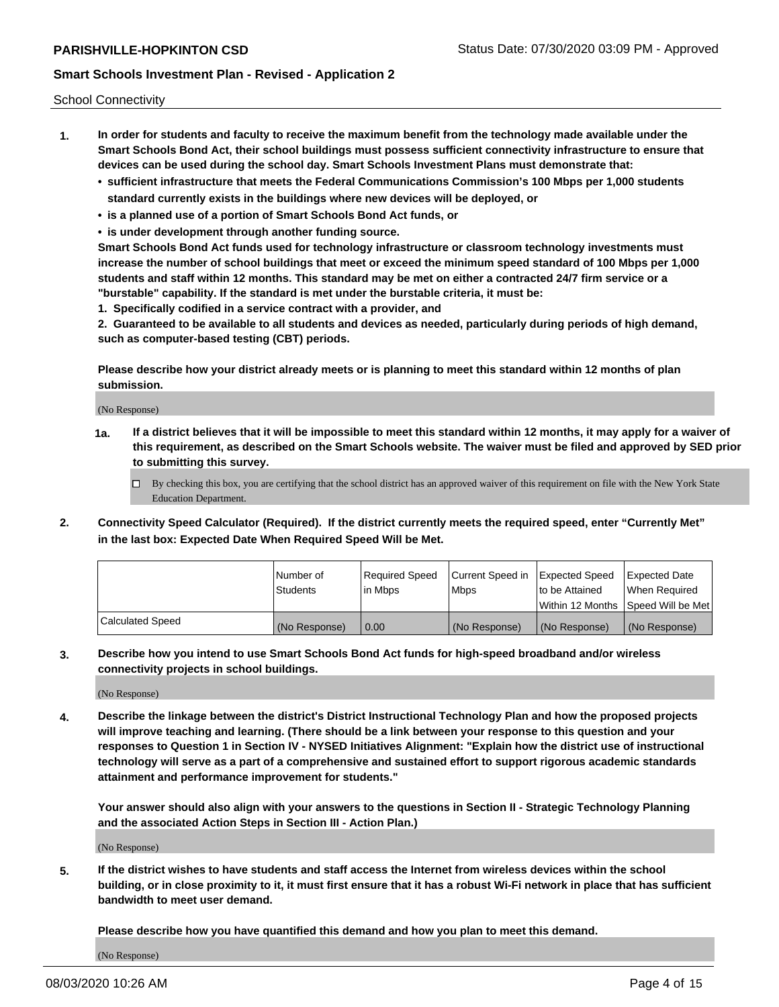School Connectivity

- **1. In order for students and faculty to receive the maximum benefit from the technology made available under the Smart Schools Bond Act, their school buildings must possess sufficient connectivity infrastructure to ensure that devices can be used during the school day. Smart Schools Investment Plans must demonstrate that:**
	- **• sufficient infrastructure that meets the Federal Communications Commission's 100 Mbps per 1,000 students standard currently exists in the buildings where new devices will be deployed, or**
	- **• is a planned use of a portion of Smart Schools Bond Act funds, or**
	- **• is under development through another funding source.**

**Smart Schools Bond Act funds used for technology infrastructure or classroom technology investments must increase the number of school buildings that meet or exceed the minimum speed standard of 100 Mbps per 1,000 students and staff within 12 months. This standard may be met on either a contracted 24/7 firm service or a "burstable" capability. If the standard is met under the burstable criteria, it must be:**

**1. Specifically codified in a service contract with a provider, and**

**2. Guaranteed to be available to all students and devices as needed, particularly during periods of high demand, such as computer-based testing (CBT) periods.**

**Please describe how your district already meets or is planning to meet this standard within 12 months of plan submission.**

(No Response)

**1a. If a district believes that it will be impossible to meet this standard within 12 months, it may apply for a waiver of this requirement, as described on the Smart Schools website. The waiver must be filed and approved by SED prior to submitting this survey.**

 $\Box$  By checking this box, you are certifying that the school district has an approved waiver of this requirement on file with the New York State Education Department.

**2. Connectivity Speed Calculator (Required). If the district currently meets the required speed, enter "Currently Met" in the last box: Expected Date When Required Speed Will be Met.**

|                  | l Number of     | Required Speed | Current Speed in | Expected Speed | Expected Date                        |
|------------------|-----------------|----------------|------------------|----------------|--------------------------------------|
|                  | <b>Students</b> | In Mbps        | <b>Mbps</b>      | to be Attained | When Required                        |
|                  |                 |                |                  |                | Within 12 Months 1Speed Will be Met1 |
| Calculated Speed | (No Response)   | 0.00           | (No Response)    | (No Response)  | l (No Response)                      |

**3. Describe how you intend to use Smart Schools Bond Act funds for high-speed broadband and/or wireless connectivity projects in school buildings.**

(No Response)

**4. Describe the linkage between the district's District Instructional Technology Plan and how the proposed projects will improve teaching and learning. (There should be a link between your response to this question and your responses to Question 1 in Section IV - NYSED Initiatives Alignment: "Explain how the district use of instructional technology will serve as a part of a comprehensive and sustained effort to support rigorous academic standards attainment and performance improvement for students."** 

**Your answer should also align with your answers to the questions in Section II - Strategic Technology Planning and the associated Action Steps in Section III - Action Plan.)**

(No Response)

**5. If the district wishes to have students and staff access the Internet from wireless devices within the school building, or in close proximity to it, it must first ensure that it has a robust Wi-Fi network in place that has sufficient bandwidth to meet user demand.**

**Please describe how you have quantified this demand and how you plan to meet this demand.**

(No Response)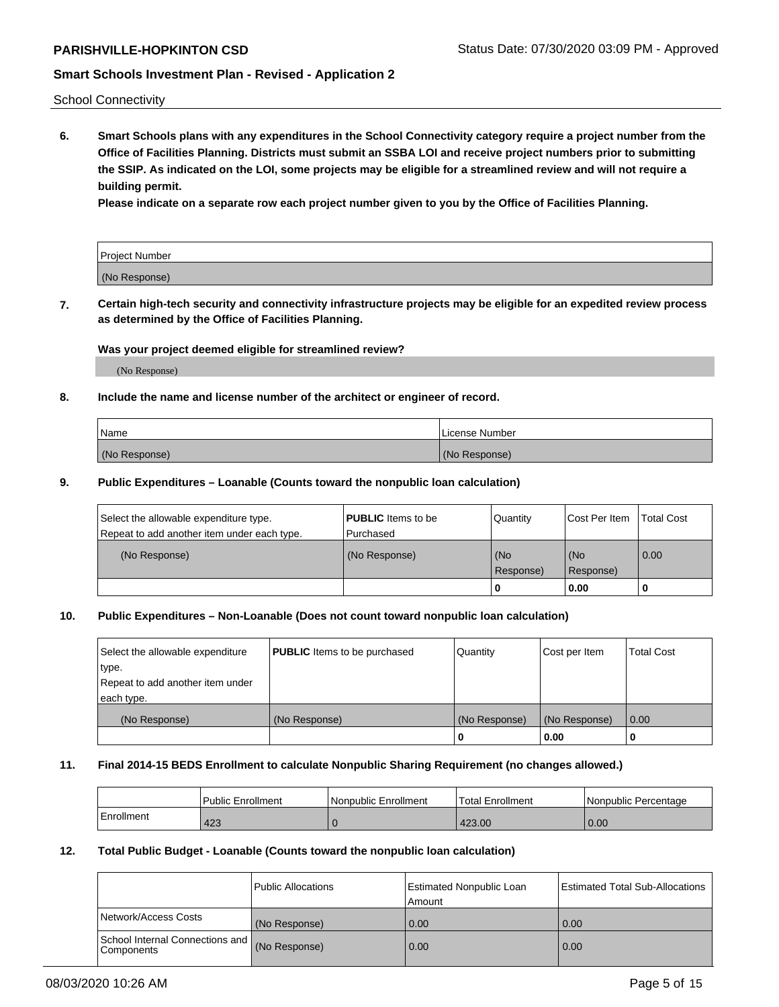School Connectivity

**6. Smart Schools plans with any expenditures in the School Connectivity category require a project number from the Office of Facilities Planning. Districts must submit an SSBA LOI and receive project numbers prior to submitting the SSIP. As indicated on the LOI, some projects may be eligible for a streamlined review and will not require a building permit.**

**Please indicate on a separate row each project number given to you by the Office of Facilities Planning.**

| Project Number |  |
|----------------|--|
| (No Response)  |  |

**7. Certain high-tech security and connectivity infrastructure projects may be eligible for an expedited review process as determined by the Office of Facilities Planning.**

### **Was your project deemed eligible for streamlined review?**

(No Response)

### **8. Include the name and license number of the architect or engineer of record.**

| Name          | License Number |
|---------------|----------------|
| (No Response) | (No Response)  |

### **9. Public Expenditures – Loanable (Counts toward the nonpublic loan calculation)**

| Select the allowable expenditure type.<br>Repeat to add another item under each type. | <b>PUBLIC</b> Items to be<br>l Purchased | Quantity           | Cost Per Item    | <b>Total Cost</b> |
|---------------------------------------------------------------------------------------|------------------------------------------|--------------------|------------------|-------------------|
| (No Response)                                                                         | (No Response)                            | l (No<br>Response) | (No<br>Response) | $\overline{0.00}$ |
|                                                                                       |                                          | O                  | 0.00             |                   |

# **10. Public Expenditures – Non-Loanable (Does not count toward nonpublic loan calculation)**

| Select the allowable expenditure<br>type.<br>Repeat to add another item under<br>each type. | <b>PUBLIC</b> Items to be purchased | Quantity      | Cost per Item | <b>Total Cost</b> |
|---------------------------------------------------------------------------------------------|-------------------------------------|---------------|---------------|-------------------|
| (No Response)                                                                               | (No Response)                       | (No Response) | (No Response) | 0.00              |
|                                                                                             |                                     |               | 0.00          |                   |

#### **11. Final 2014-15 BEDS Enrollment to calculate Nonpublic Sharing Requirement (no changes allowed.)**

|            | l Public Enrollment | Nonpublic Enrollment | Total Enrollment | Nonpublic Percentage |
|------------|---------------------|----------------------|------------------|----------------------|
| Enrollment | 423                 |                      | 423.00           | 0.00                 |

#### **12. Total Public Budget - Loanable (Counts toward the nonpublic loan calculation)**

|                                                      | Public Allocations | <b>Estimated Nonpublic Loan</b><br>Amount | Estimated Total Sub-Allocations |
|------------------------------------------------------|--------------------|-------------------------------------------|---------------------------------|
| Network/Access Costs                                 | (No Response)      | 0.00                                      | 0.00                            |
| School Internal Connections and<br><b>Components</b> | (No Response)      | 0.00                                      | 0.00                            |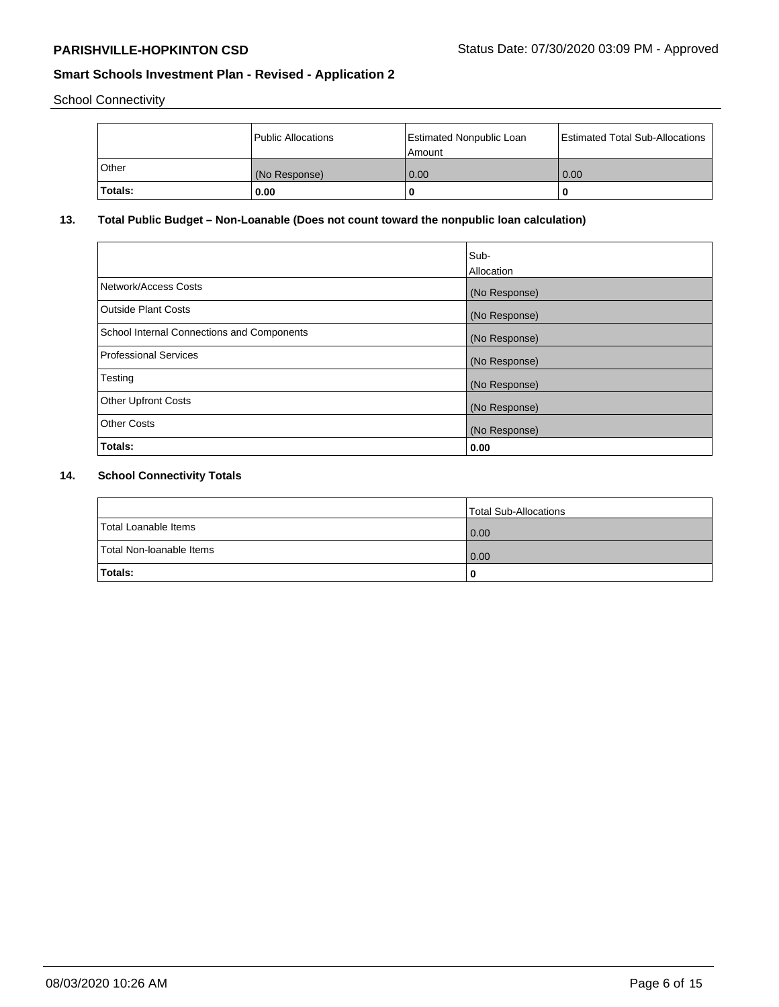School Connectivity

|              | <b>Public Allocations</b> | <b>Estimated Nonpublic Loan</b><br>l Amount | <b>Estimated Total Sub-Allocations</b> |
|--------------|---------------------------|---------------------------------------------|----------------------------------------|
| <b>Other</b> | (No Response)             | 0.00                                        | 0.00                                   |
| Totals:      | 0.00                      | 0                                           | ш                                      |

# **13. Total Public Budget – Non-Loanable (Does not count toward the nonpublic loan calculation)**

|                                                   | Sub-<br>Allocation |
|---------------------------------------------------|--------------------|
| Network/Access Costs                              | (No Response)      |
| Outside Plant Costs                               | (No Response)      |
| <b>School Internal Connections and Components</b> | (No Response)      |
| <b>Professional Services</b>                      | (No Response)      |
| Testing                                           | (No Response)      |
| <b>Other Upfront Costs</b>                        | (No Response)      |
| <b>Other Costs</b>                                | (No Response)      |
| Totals:                                           | 0.00               |

# **14. School Connectivity Totals**

|                          | Total Sub-Allocations |
|--------------------------|-----------------------|
| Total Loanable Items     | 0.00                  |
| Total Non-Ioanable Items | 0.00                  |
| Totals:                  | 0                     |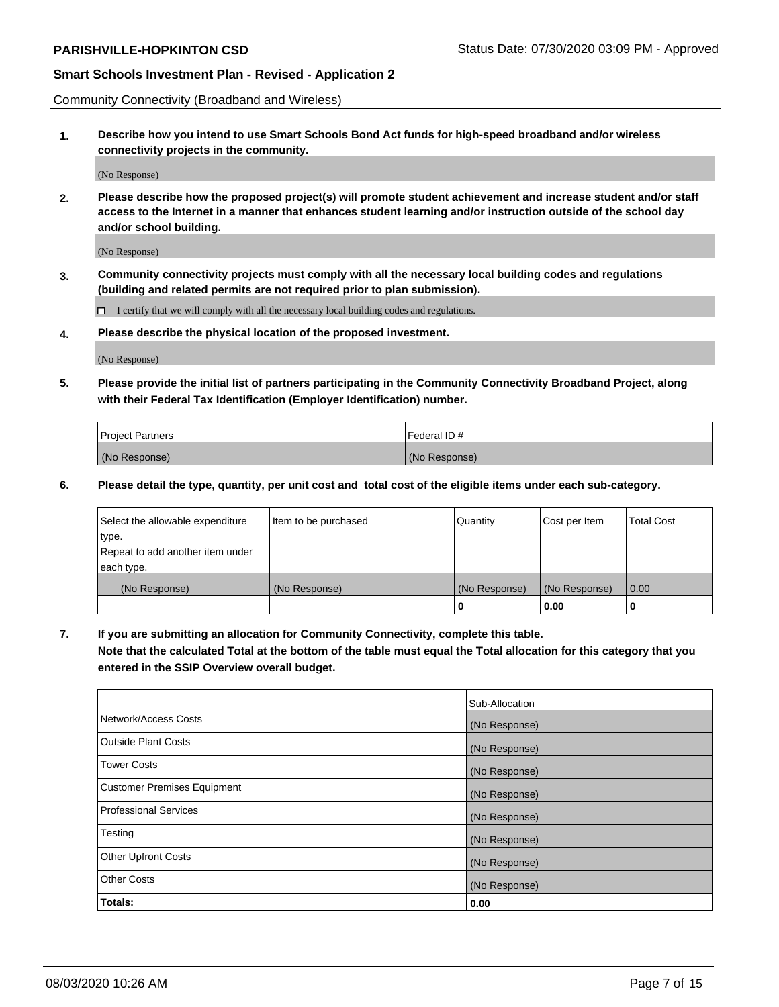Community Connectivity (Broadband and Wireless)

**1. Describe how you intend to use Smart Schools Bond Act funds for high-speed broadband and/or wireless connectivity projects in the community.**

(No Response)

**2. Please describe how the proposed project(s) will promote student achievement and increase student and/or staff access to the Internet in a manner that enhances student learning and/or instruction outside of the school day and/or school building.**

(No Response)

**3. Community connectivity projects must comply with all the necessary local building codes and regulations (building and related permits are not required prior to plan submission).**

 $\Box$  I certify that we will comply with all the necessary local building codes and regulations.

**4. Please describe the physical location of the proposed investment.**

(No Response)

**5. Please provide the initial list of partners participating in the Community Connectivity Broadband Project, along with their Federal Tax Identification (Employer Identification) number.**

| <b>Project Partners</b> | l Federal ID # |
|-------------------------|----------------|
| (No Response)           | (No Response)  |

**6. Please detail the type, quantity, per unit cost and total cost of the eligible items under each sub-category.**

| Select the allowable expenditure | Item to be purchased | Quantity      | Cost per Item | <b>Total Cost</b> |
|----------------------------------|----------------------|---------------|---------------|-------------------|
| type.                            |                      |               |               |                   |
| Repeat to add another item under |                      |               |               |                   |
| each type.                       |                      |               |               |                   |
| (No Response)                    | (No Response)        | (No Response) | (No Response) | 0.00              |
|                                  |                      | o             | 0.00          |                   |

**7. If you are submitting an allocation for Community Connectivity, complete this table.**

**Note that the calculated Total at the bottom of the table must equal the Total allocation for this category that you entered in the SSIP Overview overall budget.**

|                                    | Sub-Allocation |
|------------------------------------|----------------|
| Network/Access Costs               | (No Response)  |
| Outside Plant Costs                | (No Response)  |
| <b>Tower Costs</b>                 | (No Response)  |
| <b>Customer Premises Equipment</b> | (No Response)  |
| <b>Professional Services</b>       | (No Response)  |
| Testing                            | (No Response)  |
| <b>Other Upfront Costs</b>         | (No Response)  |
| <b>Other Costs</b>                 | (No Response)  |
| Totals:                            | 0.00           |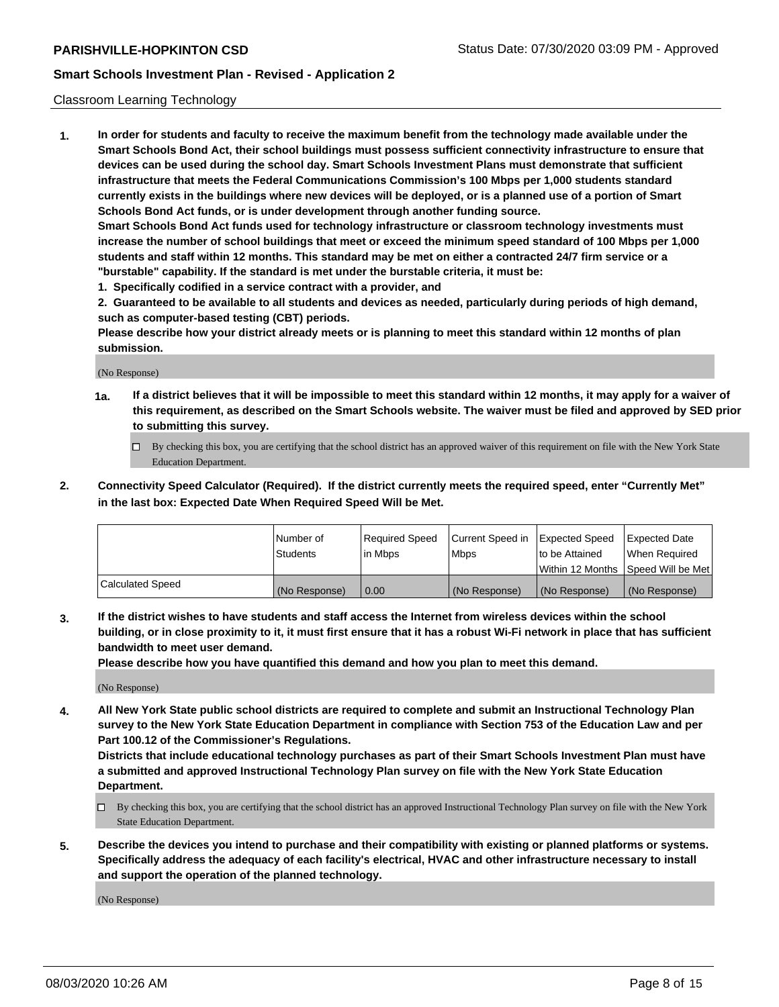### Classroom Learning Technology

**1. In order for students and faculty to receive the maximum benefit from the technology made available under the Smart Schools Bond Act, their school buildings must possess sufficient connectivity infrastructure to ensure that devices can be used during the school day. Smart Schools Investment Plans must demonstrate that sufficient infrastructure that meets the Federal Communications Commission's 100 Mbps per 1,000 students standard currently exists in the buildings where new devices will be deployed, or is a planned use of a portion of Smart Schools Bond Act funds, or is under development through another funding source. Smart Schools Bond Act funds used for technology infrastructure or classroom technology investments must increase the number of school buildings that meet or exceed the minimum speed standard of 100 Mbps per 1,000 students and staff within 12 months. This standard may be met on either a contracted 24/7 firm service or a**

**"burstable" capability. If the standard is met under the burstable criteria, it must be:**

**1. Specifically codified in a service contract with a provider, and**

**2. Guaranteed to be available to all students and devices as needed, particularly during periods of high demand, such as computer-based testing (CBT) periods.**

**Please describe how your district already meets or is planning to meet this standard within 12 months of plan submission.**

(No Response)

- **1a. If a district believes that it will be impossible to meet this standard within 12 months, it may apply for a waiver of this requirement, as described on the Smart Schools website. The waiver must be filed and approved by SED prior to submitting this survey.**
	- By checking this box, you are certifying that the school district has an approved waiver of this requirement on file with the New York State Education Department.
- **2. Connectivity Speed Calculator (Required). If the district currently meets the required speed, enter "Currently Met" in the last box: Expected Date When Required Speed Will be Met.**

|                  | l Number of     | Required Speed | Current Speed in | <b>Expected Speed</b> | <b>Expected Date</b>                |
|------------------|-----------------|----------------|------------------|-----------------------|-------------------------------------|
|                  | <b>Students</b> | l in Mbps      | l Mbps           | to be Attained        | When Required                       |
|                  |                 |                |                  |                       | Within 12 Months  Speed Will be Met |
| Calculated Speed | (No Response)   | 0.00           | (No Response)    | l (No Response)       | (No Response)                       |

**3. If the district wishes to have students and staff access the Internet from wireless devices within the school building, or in close proximity to it, it must first ensure that it has a robust Wi-Fi network in place that has sufficient bandwidth to meet user demand.**

**Please describe how you have quantified this demand and how you plan to meet this demand.**

(No Response)

**4. All New York State public school districts are required to complete and submit an Instructional Technology Plan survey to the New York State Education Department in compliance with Section 753 of the Education Law and per Part 100.12 of the Commissioner's Regulations.**

**Districts that include educational technology purchases as part of their Smart Schools Investment Plan must have a submitted and approved Instructional Technology Plan survey on file with the New York State Education Department.**

- By checking this box, you are certifying that the school district has an approved Instructional Technology Plan survey on file with the New York State Education Department.
- **5. Describe the devices you intend to purchase and their compatibility with existing or planned platforms or systems. Specifically address the adequacy of each facility's electrical, HVAC and other infrastructure necessary to install and support the operation of the planned technology.**

(No Response)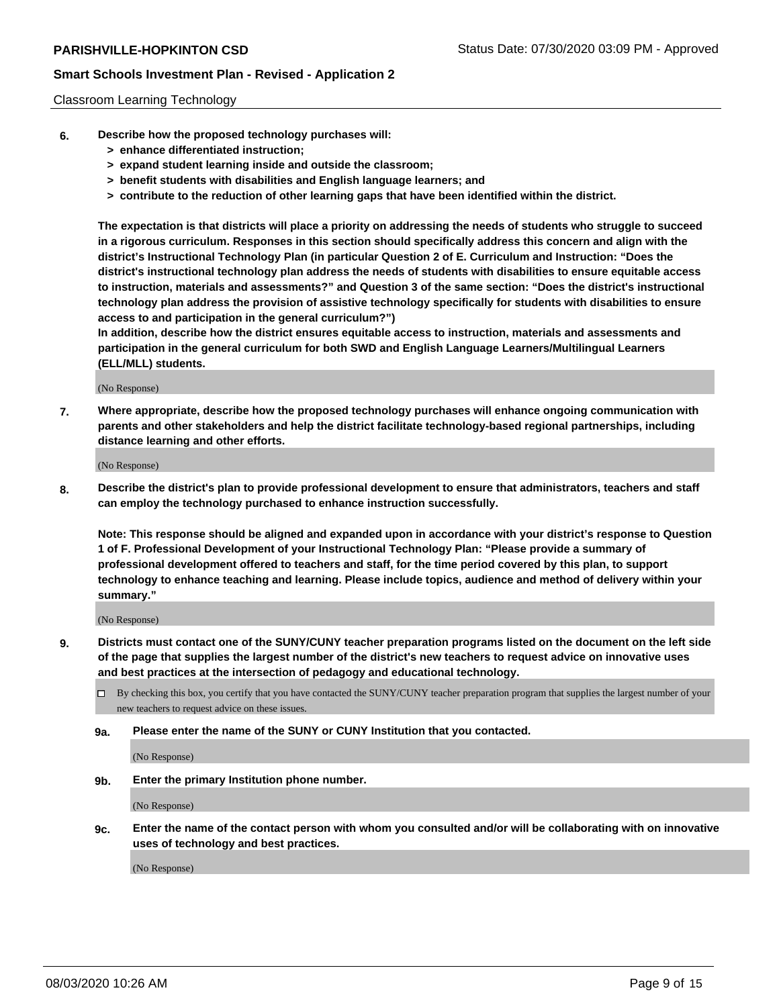### Classroom Learning Technology

- **6. Describe how the proposed technology purchases will:**
	- **> enhance differentiated instruction;**
	- **> expand student learning inside and outside the classroom;**
	- **> benefit students with disabilities and English language learners; and**
	- **> contribute to the reduction of other learning gaps that have been identified within the district.**

**The expectation is that districts will place a priority on addressing the needs of students who struggle to succeed in a rigorous curriculum. Responses in this section should specifically address this concern and align with the district's Instructional Technology Plan (in particular Question 2 of E. Curriculum and Instruction: "Does the district's instructional technology plan address the needs of students with disabilities to ensure equitable access to instruction, materials and assessments?" and Question 3 of the same section: "Does the district's instructional technology plan address the provision of assistive technology specifically for students with disabilities to ensure access to and participation in the general curriculum?")**

**In addition, describe how the district ensures equitable access to instruction, materials and assessments and participation in the general curriculum for both SWD and English Language Learners/Multilingual Learners (ELL/MLL) students.**

(No Response)

**7. Where appropriate, describe how the proposed technology purchases will enhance ongoing communication with parents and other stakeholders and help the district facilitate technology-based regional partnerships, including distance learning and other efforts.**

(No Response)

**8. Describe the district's plan to provide professional development to ensure that administrators, teachers and staff can employ the technology purchased to enhance instruction successfully.**

**Note: This response should be aligned and expanded upon in accordance with your district's response to Question 1 of F. Professional Development of your Instructional Technology Plan: "Please provide a summary of professional development offered to teachers and staff, for the time period covered by this plan, to support technology to enhance teaching and learning. Please include topics, audience and method of delivery within your summary."**

(No Response)

- **9. Districts must contact one of the SUNY/CUNY teacher preparation programs listed on the document on the left side of the page that supplies the largest number of the district's new teachers to request advice on innovative uses and best practices at the intersection of pedagogy and educational technology.**
	- By checking this box, you certify that you have contacted the SUNY/CUNY teacher preparation program that supplies the largest number of your new teachers to request advice on these issues.
	- **9a. Please enter the name of the SUNY or CUNY Institution that you contacted.**

(No Response)

**9b. Enter the primary Institution phone number.**

(No Response)

**9c. Enter the name of the contact person with whom you consulted and/or will be collaborating with on innovative uses of technology and best practices.**

(No Response)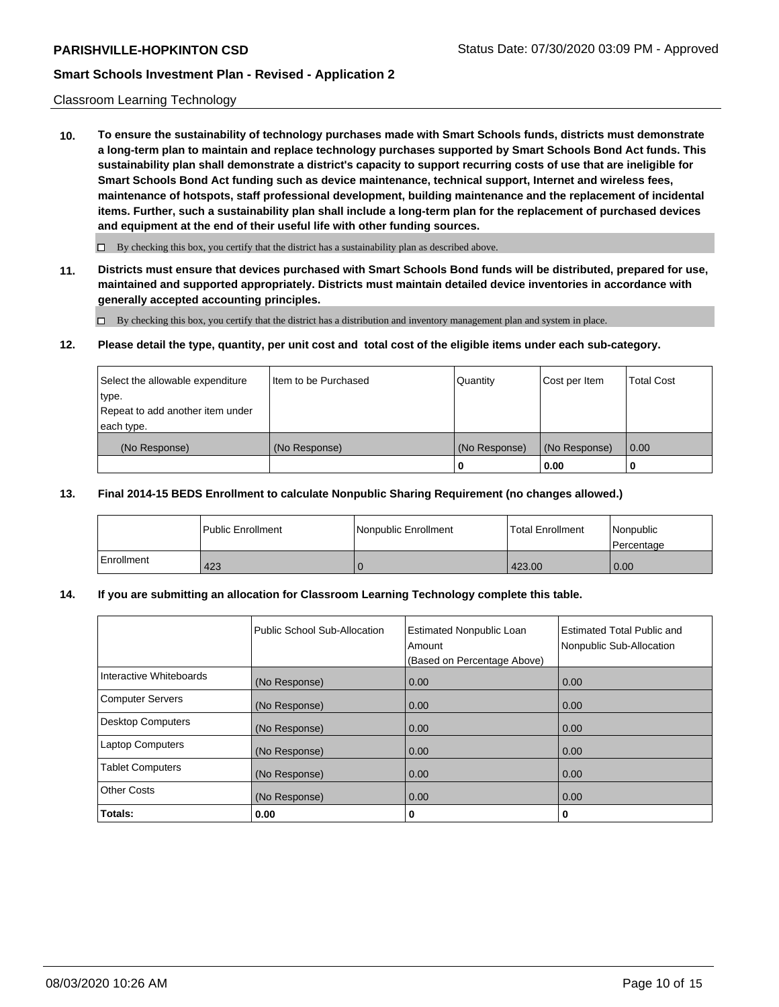### Classroom Learning Technology

**10. To ensure the sustainability of technology purchases made with Smart Schools funds, districts must demonstrate a long-term plan to maintain and replace technology purchases supported by Smart Schools Bond Act funds. This sustainability plan shall demonstrate a district's capacity to support recurring costs of use that are ineligible for Smart Schools Bond Act funding such as device maintenance, technical support, Internet and wireless fees, maintenance of hotspots, staff professional development, building maintenance and the replacement of incidental items. Further, such a sustainability plan shall include a long-term plan for the replacement of purchased devices and equipment at the end of their useful life with other funding sources.**

 $\Box$  By checking this box, you certify that the district has a sustainability plan as described above.

**11. Districts must ensure that devices purchased with Smart Schools Bond funds will be distributed, prepared for use, maintained and supported appropriately. Districts must maintain detailed device inventories in accordance with generally accepted accounting principles.**

By checking this box, you certify that the district has a distribution and inventory management plan and system in place.

#### **12. Please detail the type, quantity, per unit cost and total cost of the eligible items under each sub-category.**

| Select the allowable expenditure<br>type.<br>Repeat to add another item under | Item to be Purchased | Quantity      | Cost per Item | <b>Total Cost</b> |
|-------------------------------------------------------------------------------|----------------------|---------------|---------------|-------------------|
| each type.<br>(No Response)                                                   | (No Response)        | (No Response) | (No Response) | 0.00              |
|                                                                               |                      | 0             | 0.00          |                   |

### **13. Final 2014-15 BEDS Enrollment to calculate Nonpublic Sharing Requirement (no changes allowed.)**

|            | l Public Enrollment | Nonpublic Enrollment | <b>Total Enrollment</b> | l Nonpublic<br>l Percentage |
|------------|---------------------|----------------------|-------------------------|-----------------------------|
| Enrollment | 423                 |                      | 423.00                  | 0.00                        |

### **14. If you are submitting an allocation for Classroom Learning Technology complete this table.**

|                         | Public School Sub-Allocation | <b>Estimated Nonpublic Loan</b><br>Amount<br>(Based on Percentage Above) | <b>Estimated Total Public and</b><br>Nonpublic Sub-Allocation |
|-------------------------|------------------------------|--------------------------------------------------------------------------|---------------------------------------------------------------|
| Interactive Whiteboards | (No Response)                | 0.00                                                                     | 0.00                                                          |
| Computer Servers        | (No Response)                | 0.00                                                                     | 0.00                                                          |
| Desktop Computers       | (No Response)                | 0.00                                                                     | 0.00                                                          |
| <b>Laptop Computers</b> | (No Response)                | 0.00                                                                     | 0.00                                                          |
| <b>Tablet Computers</b> | (No Response)                | 0.00                                                                     | 0.00                                                          |
| Other Costs             | (No Response)                | 0.00                                                                     | 0.00                                                          |
| Totals:                 | 0.00                         | 0                                                                        | 0                                                             |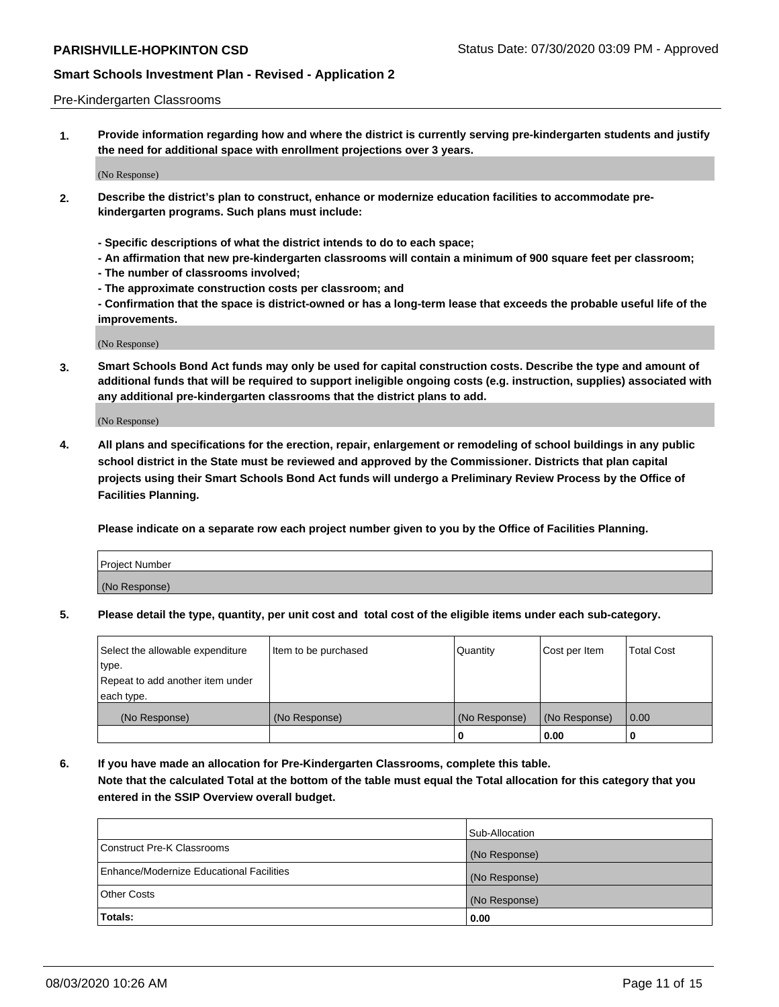#### Pre-Kindergarten Classrooms

**1. Provide information regarding how and where the district is currently serving pre-kindergarten students and justify the need for additional space with enrollment projections over 3 years.**

(No Response)

- **2. Describe the district's plan to construct, enhance or modernize education facilities to accommodate prekindergarten programs. Such plans must include:**
	- **Specific descriptions of what the district intends to do to each space;**
	- **An affirmation that new pre-kindergarten classrooms will contain a minimum of 900 square feet per classroom;**
	- **The number of classrooms involved;**
	- **The approximate construction costs per classroom; and**
	- **Confirmation that the space is district-owned or has a long-term lease that exceeds the probable useful life of the improvements.**

(No Response)

**3. Smart Schools Bond Act funds may only be used for capital construction costs. Describe the type and amount of additional funds that will be required to support ineligible ongoing costs (e.g. instruction, supplies) associated with any additional pre-kindergarten classrooms that the district plans to add.**

(No Response)

**4. All plans and specifications for the erection, repair, enlargement or remodeling of school buildings in any public school district in the State must be reviewed and approved by the Commissioner. Districts that plan capital projects using their Smart Schools Bond Act funds will undergo a Preliminary Review Process by the Office of Facilities Planning.**

**Please indicate on a separate row each project number given to you by the Office of Facilities Planning.**

| Project Number |  |
|----------------|--|
| (No Response)  |  |
|                |  |

**5. Please detail the type, quantity, per unit cost and total cost of the eligible items under each sub-category.**

| Select the allowable expenditure | Item to be purchased | Quantity      | Cost per Item | <b>Total Cost</b> |
|----------------------------------|----------------------|---------------|---------------|-------------------|
| type.                            |                      |               |               |                   |
| Repeat to add another item under |                      |               |               |                   |
| each type.                       |                      |               |               |                   |
| (No Response)                    | (No Response)        | (No Response) | (No Response) | 0.00              |
|                                  |                      | υ             | 0.00          |                   |

**6. If you have made an allocation for Pre-Kindergarten Classrooms, complete this table. Note that the calculated Total at the bottom of the table must equal the Total allocation for this category that you entered in the SSIP Overview overall budget.**

|                                          | Sub-Allocation |
|------------------------------------------|----------------|
| Construct Pre-K Classrooms               | (No Response)  |
| Enhance/Modernize Educational Facilities | (No Response)  |
| <b>Other Costs</b>                       | (No Response)  |
| Totals:                                  | 0.00           |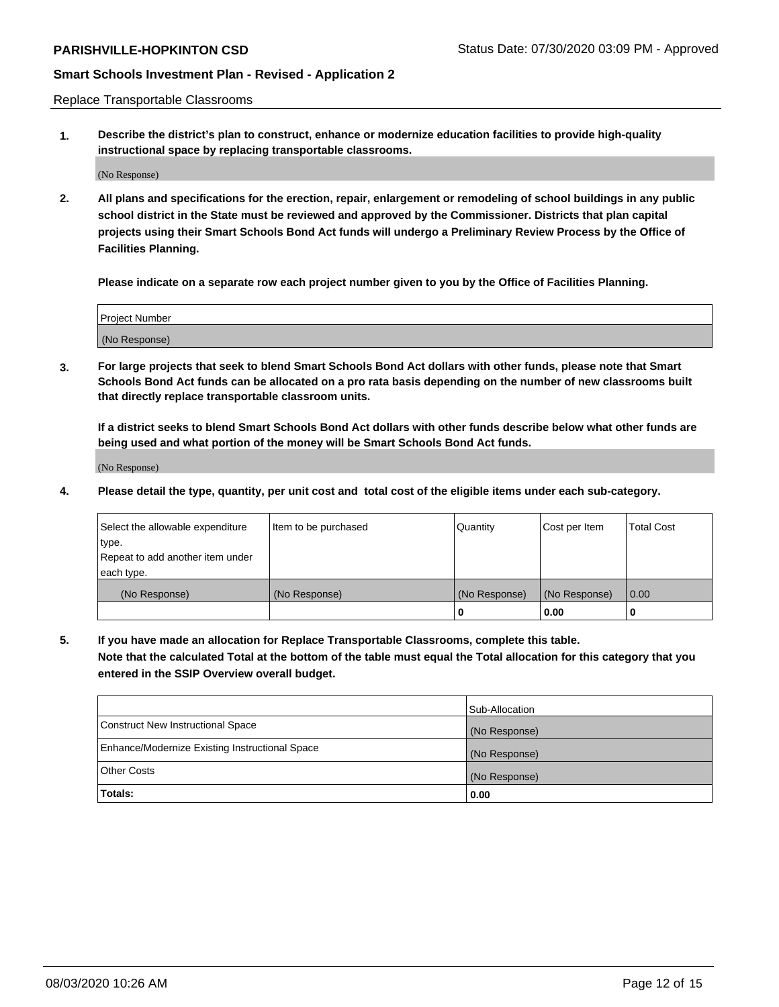Replace Transportable Classrooms

**1. Describe the district's plan to construct, enhance or modernize education facilities to provide high-quality instructional space by replacing transportable classrooms.**

(No Response)

**2. All plans and specifications for the erection, repair, enlargement or remodeling of school buildings in any public school district in the State must be reviewed and approved by the Commissioner. Districts that plan capital projects using their Smart Schools Bond Act funds will undergo a Preliminary Review Process by the Office of Facilities Planning.**

**Please indicate on a separate row each project number given to you by the Office of Facilities Planning.**

| Project Number |  |
|----------------|--|
|                |  |
| (No Response)  |  |

**3. For large projects that seek to blend Smart Schools Bond Act dollars with other funds, please note that Smart Schools Bond Act funds can be allocated on a pro rata basis depending on the number of new classrooms built that directly replace transportable classroom units.**

**If a district seeks to blend Smart Schools Bond Act dollars with other funds describe below what other funds are being used and what portion of the money will be Smart Schools Bond Act funds.**

(No Response)

**4. Please detail the type, quantity, per unit cost and total cost of the eligible items under each sub-category.**

| Select the allowable expenditure | Item to be purchased | Quantity      | Cost per Item | Total Cost |
|----------------------------------|----------------------|---------------|---------------|------------|
| ∣type.                           |                      |               |               |            |
| Repeat to add another item under |                      |               |               |            |
| each type.                       |                      |               |               |            |
| (No Response)                    | (No Response)        | (No Response) | (No Response) | 0.00       |
|                                  |                      | u             | 0.00          |            |

**5. If you have made an allocation for Replace Transportable Classrooms, complete this table. Note that the calculated Total at the bottom of the table must equal the Total allocation for this category that you entered in the SSIP Overview overall budget.**

|                                                | Sub-Allocation |
|------------------------------------------------|----------------|
| Construct New Instructional Space              | (No Response)  |
| Enhance/Modernize Existing Instructional Space | (No Response)  |
| Other Costs                                    | (No Response)  |
| Totals:                                        | 0.00           |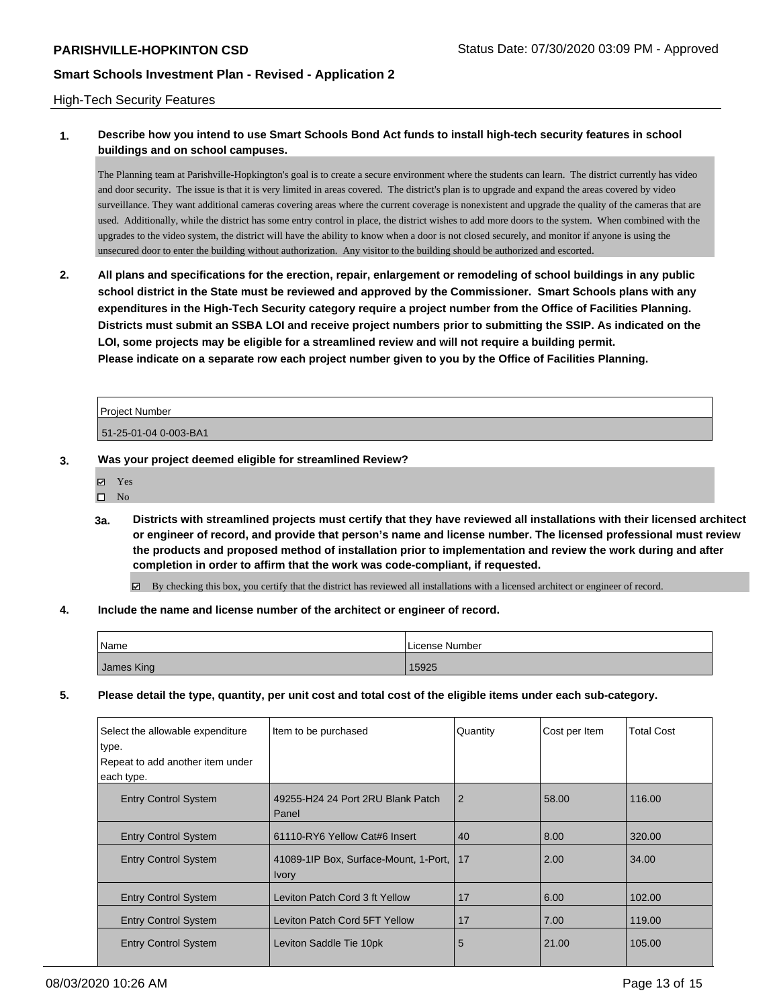### High-Tech Security Features

# **1. Describe how you intend to use Smart Schools Bond Act funds to install high-tech security features in school buildings and on school campuses.**

The Planning team at Parishville-Hopkington's goal is to create a secure environment where the students can learn. The district currently has video and door security. The issue is that it is very limited in areas covered. The district's plan is to upgrade and expand the areas covered by video surveillance. They want additional cameras covering areas where the current coverage is nonexistent and upgrade the quality of the cameras that are used. Additionally, while the district has some entry control in place, the district wishes to add more doors to the system. When combined with the upgrades to the video system, the district will have the ability to know when a door is not closed securely, and monitor if anyone is using the unsecured door to enter the building without authorization. Any visitor to the building should be authorized and escorted.

**2. All plans and specifications for the erection, repair, enlargement or remodeling of school buildings in any public school district in the State must be reviewed and approved by the Commissioner. Smart Schools plans with any expenditures in the High-Tech Security category require a project number from the Office of Facilities Planning. Districts must submit an SSBA LOI and receive project numbers prior to submitting the SSIP. As indicated on the LOI, some projects may be eligible for a streamlined review and will not require a building permit. Please indicate on a separate row each project number given to you by the Office of Facilities Planning.**

| <b>Project Number</b> |  |
|-----------------------|--|
| 51-25-01-04 0-003-BA1 |  |

- **3. Was your project deemed eligible for streamlined Review?**
	- Yes
	- $\square$  No
	- **3a. Districts with streamlined projects must certify that they have reviewed all installations with their licensed architect or engineer of record, and provide that person's name and license number. The licensed professional must review the products and proposed method of installation prior to implementation and review the work during and after completion in order to affirm that the work was code-compliant, if requested.**

By checking this box, you certify that the district has reviewed all installations with a licensed architect or engineer of record.

#### **4. Include the name and license number of the architect or engineer of record.**

| Name       | License Number |
|------------|----------------|
| James King | 15925          |

**5. Please detail the type, quantity, per unit cost and total cost of the eligible items under each sub-category.**

| Select the allowable expenditure<br>type.<br>Repeat to add another item under<br>each type. | Item to be purchased                                  | Quantity       | Cost per Item | <b>Total Cost</b> |
|---------------------------------------------------------------------------------------------|-------------------------------------------------------|----------------|---------------|-------------------|
| <b>Entry Control System</b>                                                                 | 49255-H24 24 Port 2RU Blank Patch<br>Panel            | $\overline{2}$ | 58.00         | 116.00            |
| <b>Entry Control System</b>                                                                 | 61110-RY6 Yellow Cat#6 Insert                         | 40             | 8.00          | 320.00            |
| <b>Entry Control System</b>                                                                 | 41089-1IP Box, Surface-Mount, 1-Port,<br><b>Ivory</b> | 17             | 2.00          | 34.00             |
| <b>Entry Control System</b>                                                                 | Leviton Patch Cord 3 ft Yellow                        | 17             | 6.00          | 102.00            |
| <b>Entry Control System</b>                                                                 | Leviton Patch Cord 5FT Yellow                         | 17             | 7.00          | 119.00            |
| <b>Entry Control System</b>                                                                 | Leviton Saddle Tie 10pk                               | 5              | 21.00         | 105.00            |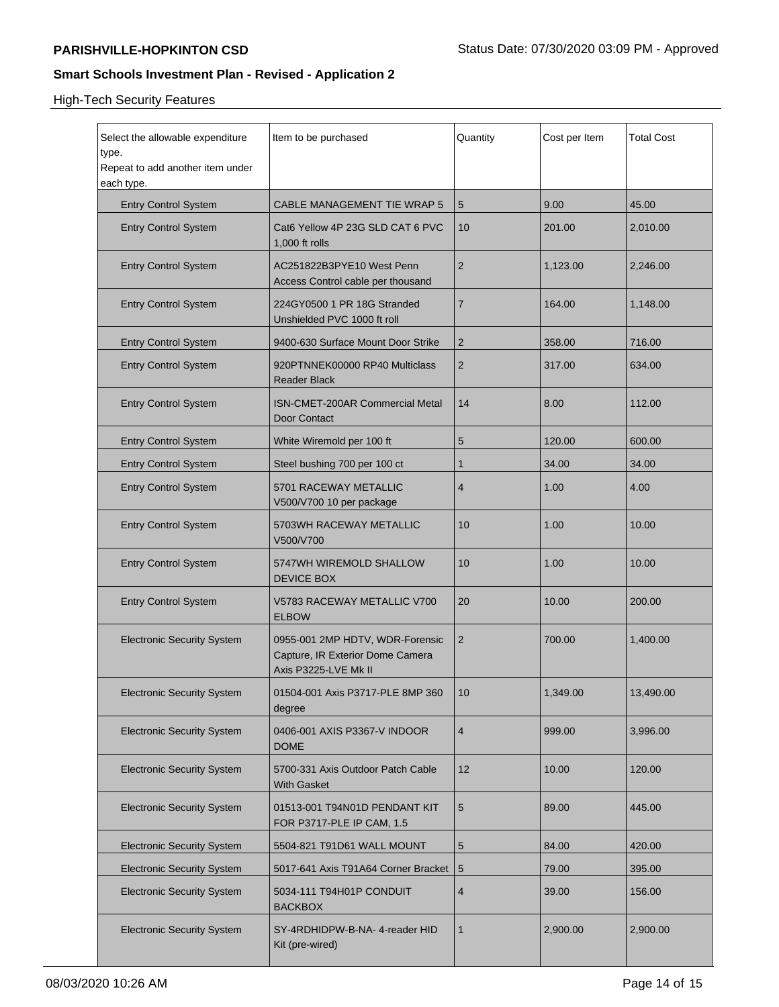High-Tech Security Features

| Select the allowable expenditure<br>type.<br>Repeat to add another item under<br>each type. | Item to be purchased                                                                        | Quantity        | Cost per Item | <b>Total Cost</b> |
|---------------------------------------------------------------------------------------------|---------------------------------------------------------------------------------------------|-----------------|---------------|-------------------|
| <b>Entry Control System</b>                                                                 | <b>CABLE MANAGEMENT TIE WRAP 5</b>                                                          | 5               | 9.00          | 45.00             |
| <b>Entry Control System</b>                                                                 | Cat6 Yellow 4P 23G SLD CAT 6 PVC<br>1,000 ft rolls                                          | 10              | 201.00        | 2,010.00          |
| <b>Entry Control System</b>                                                                 | AC251822B3PYE10 West Penn<br>Access Control cable per thousand                              | 2               | 1,123.00      | 2,246.00          |
| <b>Entry Control System</b>                                                                 | 224GY0500 1 PR 18G Stranded<br>Unshielded PVC 1000 ft roll                                  | 7               | 164.00        | 1,148.00          |
| <b>Entry Control System</b>                                                                 | 9400-630 Surface Mount Door Strike                                                          | 2               | 358.00        | 716.00            |
| <b>Entry Control System</b>                                                                 | 920PTNNEK00000 RP40 Multiclass<br><b>Reader Black</b>                                       | 2               | 317.00        | 634.00            |
| <b>Entry Control System</b>                                                                 | ISN-CMET-200AR Commercial Metal<br>Door Contact                                             | 14              | 8.00          | 112.00            |
| <b>Entry Control System</b>                                                                 | White Wiremold per 100 ft                                                                   | 5               | 120.00        | 600.00            |
| <b>Entry Control System</b>                                                                 | Steel bushing 700 per 100 ct                                                                | 1               | 34.00         | 34.00             |
| <b>Entry Control System</b>                                                                 | 5701 RACEWAY METALLIC<br>V500/V700 10 per package                                           | 4               | 1.00          | 4.00              |
| <b>Entry Control System</b>                                                                 | 5703WH RACEWAY METALLIC<br>V500/V700                                                        | 10              | 1.00          | 10.00             |
| <b>Entry Control System</b>                                                                 | 5747WH WIREMOLD SHALLOW<br><b>DEVICE BOX</b>                                                | 10              | 1.00          | 10.00             |
| <b>Entry Control System</b>                                                                 | V5783 RACEWAY METALLIC V700<br><b>ELBOW</b>                                                 | 20              | 10.00         | 200.00            |
| <b>Electronic Security System</b>                                                           | 0955-001 2MP HDTV, WDR-Forensic<br>Capture, IR Exterior Dome Camera<br>Axis P3225-LVE Mk II | 2               | 700.00        | 1,400.00          |
| <b>Electronic Security System</b>                                                           | 01504-001 Axis P3717-PLE 8MP 360<br>degree                                                  | 10              | 1,349.00      | 13,490.00         |
| <b>Electronic Security System</b>                                                           | 0406-001 AXIS P3367-V INDOOR<br><b>DOME</b>                                                 | 4               | 999.00        | 3,996.00          |
| <b>Electronic Security System</b>                                                           | 5700-331 Axis Outdoor Patch Cable<br>With Gasket                                            | 12 <sup>2</sup> | 10.00         | 120.00            |
| <b>Electronic Security System</b>                                                           | 01513-001 T94N01D PENDANT KIT<br>FOR P3717-PLE IP CAM, 1.5                                  | 5               | 89.00         | 445.00            |
| <b>Electronic Security System</b>                                                           | 5504-821 T91D61 WALL MOUNT                                                                  | 5               | 84.00         | 420.00            |
| <b>Electronic Security System</b>                                                           | 5017-641 Axis T91A64 Corner Bracket                                                         | 5               | 79.00         | 395.00            |
| <b>Electronic Security System</b>                                                           | 5034-111 T94H01P CONDUIT<br><b>BACKBOX</b>                                                  | 4               | 39.00         | 156.00            |
| <b>Electronic Security System</b>                                                           | SY-4RDHIDPW-B-NA-4-reader HID<br>Kit (pre-wired)                                            | 1               | 2,900.00      | 2,900.00          |